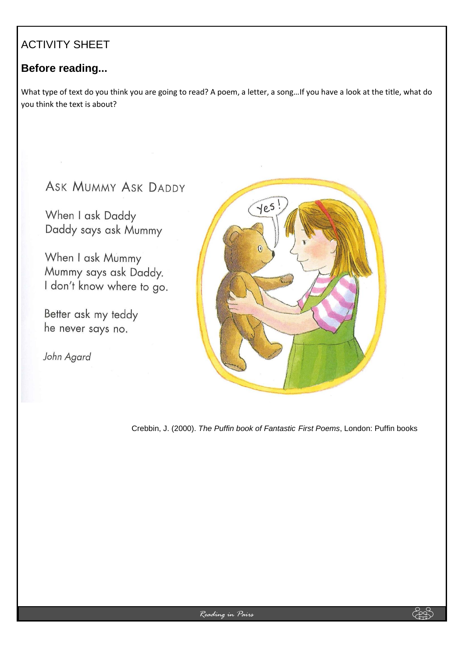## ACTIVITY SHEET

## **Before reading...**

What type of text do you think you are going to read? A poem, a letter, a song…If you have a look at the title, what do you think the text is about?

# ASK MUMMY ASK DADDY

When I ask Daddy Daddy says ask Mummy

When I ask Mummy Mummy says ask Daddy. I don't know where to go.

Better ask my teddy he never says no.

John Agard



Crebbin, J. (2000). *The Puffin book of Fantastic First Poems*, London: Puffin books

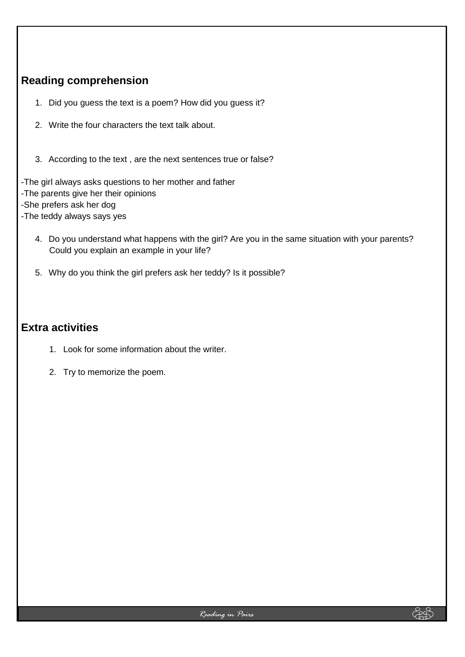## **Reading comprehension**

- 1. Did you guess the text is a poem? How did you guess it?
- 2. Write the four characters the text talk about.
- 3. According to the text , are the next sentences true or false?

-The girl always asks questions to her mother and father

- -The parents give her their opinions
- -She prefers ask her dog
- -The teddy always says yes
	- 4. Do you understand what happens with the girl? Are you in the same situation with your parents? Could you explain an example in your life?
	- 5. Why do you think the girl prefers ask her teddy? Is it possible?

#### **Extra activities**

- 1. Look for some information about the writer.
- 2. Try to memorize the poem.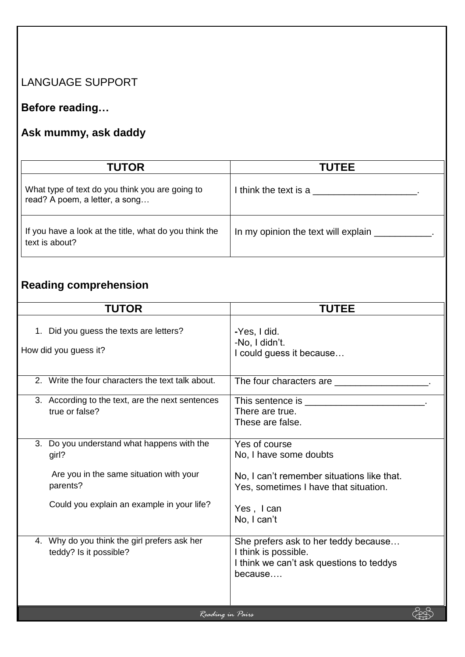## LANGUAGE SUPPORT

# **Before reading…**

# **Ask mummy, ask daddy**

| <b>TUTOR</b>                                                                      | <b>TUTEE</b>                        |
|-----------------------------------------------------------------------------------|-------------------------------------|
| What type of text do you think you are going to<br>read? A poem, a letter, a song | I think the text is a               |
| If you have a look at the title, what do you think the<br>text is about?          | In my opinion the text will explain |

# **Reading comprehension**

| <b>TUTOR</b>                                                                 | <b>TUTEE</b>                                                                                                        |  |  |  |
|------------------------------------------------------------------------------|---------------------------------------------------------------------------------------------------------------------|--|--|--|
| Did you guess the texts are letters?<br>$1_{\cdot}$<br>How did you guess it? | -Yes, I did.<br>-No. I didn't.<br>I could guess it because                                                          |  |  |  |
| 2. Write the four characters the text talk about.                            | The four characters are                                                                                             |  |  |  |
| 3. According to the text, are the next sentences<br>true or false?           | There are true.<br>These are false.                                                                                 |  |  |  |
| Do you understand what happens with the<br>3.<br>girl?                       | Yes of course<br>No, I have some doubts                                                                             |  |  |  |
| Are you in the same situation with your<br>parents?                          | No, I can't remember situations like that.<br>Yes, sometimes I have that situation.                                 |  |  |  |
| Could you explain an example in your life?                                   | Yes, I can<br>No, I can't                                                                                           |  |  |  |
| 4. Why do you think the girl prefers ask her<br>teddy? Is it possible?       | She prefers ask to her teddy because<br>I think is possible.<br>I think we can't ask questions to teddys<br>because |  |  |  |
| Reading in Pairs                                                             |                                                                                                                     |  |  |  |